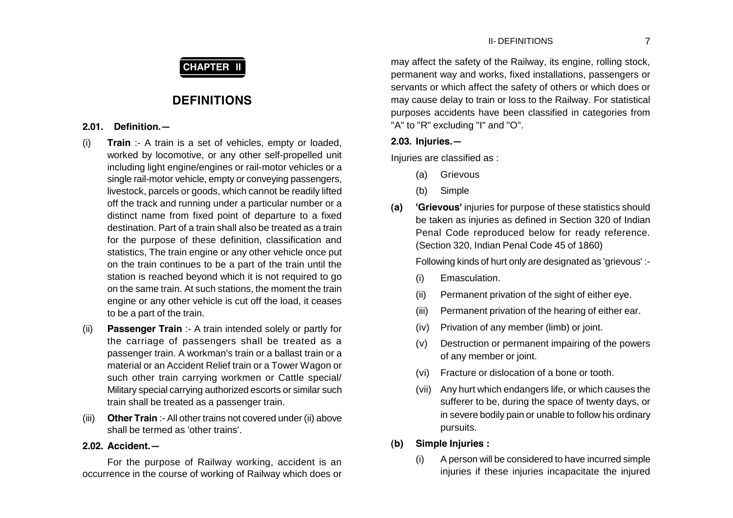# **CHAPTER II**

# **DEFINITIONS**

## **2.01. Definition.—**

- (i) **Train** :- A train is a set of vehicles, empty or loaded, worked by locomotive, or any other self-propelled unit including light engine/engines or rail-motor vehicles or a single rail-motor vehicle, empty or conveying passengers, livestock, parcels or goods, which cannot be readily lifted off the track and running under a particular number or a distinct name from fixed point of departure to a fixed destination. Part of a train shall also be treated as a train for the purpose of these definition, classification and statistics, The train engine or any other vehicle once put on the train continues to be a part of the train until the station is reached beyond which it is not required to go on the same train. At such stations, the moment the train engine or any other vehicle is cut off the load, it ceases to be a part of the train.
- (ii) **Passenger Train** :- A train intended solely or partly for the carriage of passengers shall be treated as a passenger train. A workman's train or a ballast train or a material or an Accident Relief train or a Tower Wagon or such other train carrying workmen or Cattle special/ Military special carrying authorized escorts or similar such train shall be treated as a passenger train.
- (iii) **Other Train** :- All other trains not covered under (ii) above shall be termed as 'other trains'.

## **2.02. Accident.—**

For the purpose of Railway working, accident is an occurrence in the course of working of Railway which does or may affect the safety of the Railway, its engine, rolling stock, permanent way and works, fixed installations, passengers or servants or which affect the safety of others or which does or may cause delay to train or loss to the Railway. For statistical purposes accidents have been classified in categories from "A" to "R" excluding "I" and "O".

## **2.03. Injuries.—**

Injuries are classified as :

- (a) Grievous
- (b) Simple
- **(a) 'Grievous'** injuries for purpose of these statistics should be taken as injuries as defined in Section 320 of Indian Penal Code reproduced below for ready reference. (Section 320, Indian Penal Code 45 of 1860)

Following kinds of hurt only are designated as 'grievous' :-

- (i) Emasculation.
- (ii) Permanent privation of the sight of either eye.
- (iii) Permanent privation of the hearing of either ear.
- (iv) Privation of any member (limb) or joint.
- (v) Destruction or permanent impairing of the powers of any member or joint.
- (vi) Fracture or dislocation of a bone or tooth.
- (vii) Any hurt which endangers life, or which causes the sufferer to be, during the space of twenty days, or in severe bodily pain or unable to follow his ordinary pursuits.
- **(b) Simple Injuries :**
	- (i) A person will be considered to have incurred simple injuries if these injuries incapacitate the injured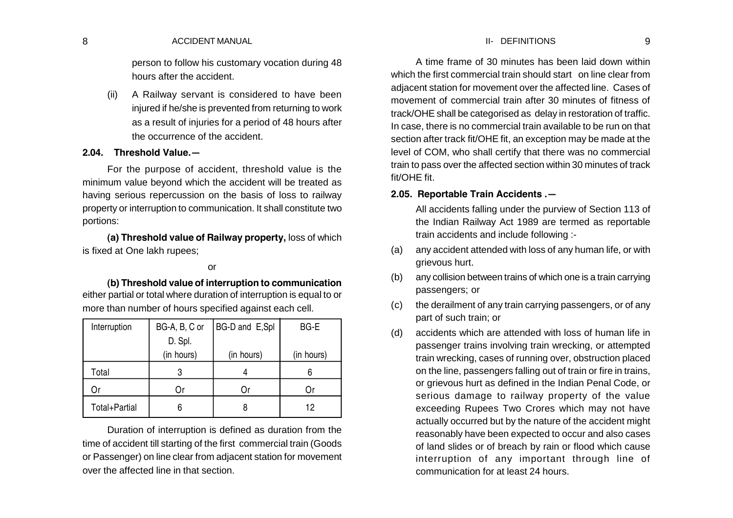#### 8 ACCIDENT MANUAL SERVICE OF THE SERVICE OF THE REFINITIONS AND ACCIDENT MANUAL SERVICE OF THE SERVICE OF THE SERVICE OF THE SERVICE OF THE SERVICE OF THE SERVICE OF THE SERVICE OF THE SERVICE OF THE SERVICE OF THE SERVICE II- DEFINITIONS

person to follow his customary vocation during 48 hours after the accident.

(ii) A Railway servant is considered to have been injured if he/she is prevented from returning to work as a result of injuries for a period of 48 hours after the occurrence of the accident.

#### **2.04. Threshold Value.—**

For the purpose of accident, threshold value is the minimum value beyond which the accident will be treated as having serious repercussion on the basis of loss to railway property or interruption to communication. It shall constitute two portions:

**(a) Threshold value of Railway property,** loss of which is fixed at One lakh rupees;

#### or

**(b) Threshold value of interruption to communication** either partial or total where duration of interruption is equal to or more than number of hours specified against each cell.

| Interruption  | BG-A, B, C or | BG-D and E,Spl | BG-E       |
|---------------|---------------|----------------|------------|
|               | D. Spl.       |                |            |
|               | (in hours)    | (in hours)     | (in hours) |
| Total         | З             |                | 6          |
|               | Or            | Οr             |            |
| Total+Partial | 6             |                | 12         |

Duration of interruption is defined as duration from the time of accident till starting of the first commercial train (Goods or Passenger) on line clear from adjacent station for movement over the affected line in that section.

A time frame of 30 minutes has been laid down within which the first commercial train should start on line clear from adjacent station for movement over the affected line. Cases of movement of commercial train after 30 minutes of fitness of track/OHE shall be categorised as delay in restoration of traffic. In case, there is no commercial train available to be run on that section after track fit/OHE fit, an exception may be made at the level of COM, who shall certify that there was no commercial train to pass over the affected section within 30 minutes of track fit/OHE fit.

### **2.05. Reportable Train Accidents .—**

All accidents falling under the purview of Section 113 of the Indian Railway Act 1989 are termed as reportable train accidents and include following :-

- (a) any accident attended with loss of any human life, or with grievous hurt.
- (b) any collision between trains of which one is a train carrying passengers; or
- (c) the derailment of any train carrying passengers, or of any part of such train; or
- (d) accidents which are attended with loss of human life in passenger trains involving train wrecking, or attempted train wrecking, cases of running over, obstruction placed on the line, passengers falling out of train or fire in trains, or grievous hurt as defined in the Indian Penal Code, or serious damage to railway property of the value exceeding Rupees Two Crores which may not have actually occurred but by the nature of the accident might reasonably have been expected to occur and also cases of land slides or of breach by rain or flood which cause interruption of any important through line of communication for at least 24 hours.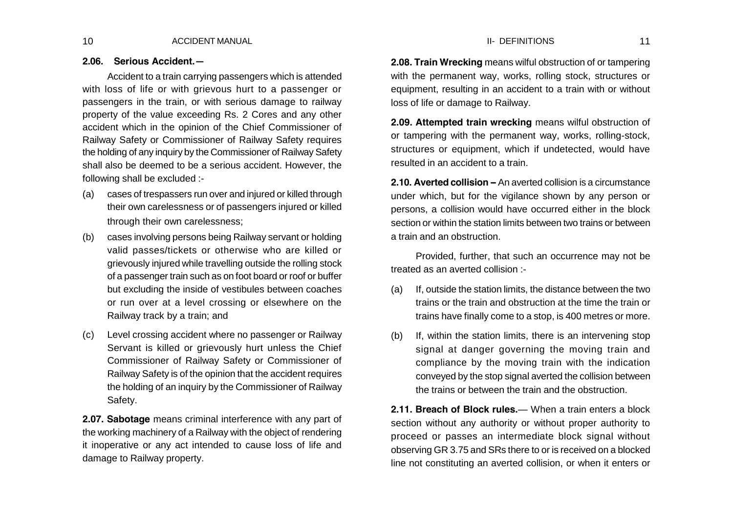### **2.06. Serious Accident.—**

Accident to a train carrying passengers which is attended with loss of life or with grievous hurt to a passenger or passengers in the train, or with serious damage to railway property of the value exceeding Rs. 2 Cores and any other accident which in the opinion of the Chief Commissioner of Railway Safety or Commissioner of Railway Safety requires the holding of any inquiry by the Commissioner of Railway Safety shall also be deemed to be a serious accident. However, the following shall be excluded :-

- (a) cases of trespassers run over and injured or killed through their own carelessness or of passengers injured or killed through their own carelessness;
- (b) cases involving persons being Railway servant or holding valid passes/tickets or otherwise who are killed or grievously injured while travelling outside the rolling stock of a passenger train such as on foot board or roof or buffer but excluding the inside of vestibules between coaches or run over at a level crossing or elsewhere on the Railway track by a train; and
- (c) Level crossing accident where no passenger or Railway Servant is killed or grievously hurt unless the Chief Commissioner of Railway Safety or Commissioner of Railway Safety is of the opinion that the accident requires the holding of an inquiry by the Commissioner of Railway Safety.

**2.07. Sabotage** means criminal interference with any part of the working machinery of a Railway with the object of rendering it inoperative or any act intended to cause loss of life and damage to Railway property.

**2.08. Train Wrecking** means wilful obstruction of or tampering with the permanent way, works, rolling stock, structures or equipment, resulting in an accident to a train with or without loss of life or damage to Railway.

**2.09. Attempted train wrecking** means wilful obstruction of or tampering with the permanent way, works, rolling-stock, structures or equipment, which if undetected, would have resulted in an accident to a train.

**2.10. Averted collision –** An averted collision is a circumstance under which, but for the vigilance shown by any person or persons, a collision would have occurred either in the block section or within the station limits between two trains or between a train and an obstruction.

Provided, further, that such an occurrence may not be treated as an averted collision :-

- (a) If, outside the station limits, the distance between the two trains or the train and obstruction at the time the train or trains have finally come to a stop, is 400 metres or more.
- (b) If, within the station limits, there is an intervening stop signal at danger governing the moving train and compliance by the moving train with the indication conveyed by the stop signal averted the collision between the trains or between the train and the obstruction.

**2.11. Breach of Block rules.**— When a train enters a block section without any authority or without proper authority to proceed or passes an intermediate block signal without observing GR 3.75 and SRs there to or is received on a blocked line not constituting an averted collision, or when it enters or